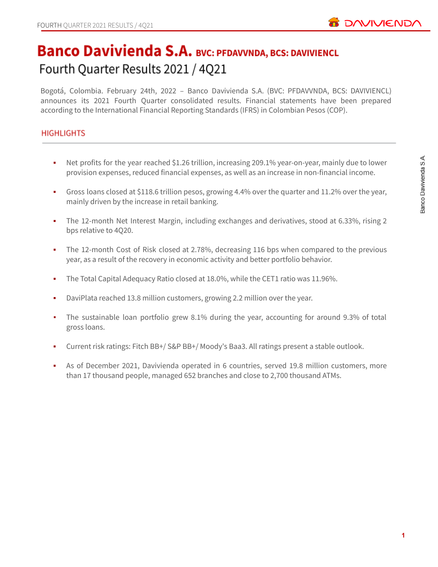

# **Banco Davivienda S.A. BVC: PFDAVVNDA, BCS: DAVIVIENCL** Fourth Quarter Results 2021 / 4Q21

Bogotá, Colombia. February 24th, 2022 – Banco Davivienda S.A. (BVC: PFDAVVNDA, BCS: DAVIVIENCL) announces its 2021 Fourth Quarter consolidated results. Financial statements have been prepared according to the International Financial Reporting Standards (IFRS) in Colombian Pesos (COP).

# **HIGHLIGHTS**

- Net profits for the year reached \$1.26 trillion, increasing 209.1% year-on-year, mainly due to lower provision expenses, reduced financial expenses, as well as an increase in non-financial income.
- Gross loans closed at \$118.6 trillion pesos, growing 4.4% over the quarter and 11.2% over the year, mainly driven by the increase in retail banking.
- The 12-month Net Interest Margin, including exchanges and derivatives, stood at 6.33%, rising 2 bps relative to 4Q20.
- **•** The 12-month Cost of Risk closed at 2.78%, decreasing 116 bps when compared to the previous year, as a result of the recovery in economic activity and better portfolio behavior.
- The Total Capital Adequacy Ratio closed at 18.0%, while the CET1 ratio was 11.96%.
- DaviPlata reached 13.8 million customers, growing 2.2 million over the year.
- The sustainable loan portfolio grew 8.1% during the year, accounting for around 9.3% of total gross loans.
- Current risk ratings: Fitch BB+/ S&P BB+/ Moody's Baa3. All ratings present a stable outlook.
- As of December 2021, Davivienda operated in 6 countries, served 19.8 million customers, more than 17 thousand people, managed 652 branches and close to 2,700 thousand ATMs.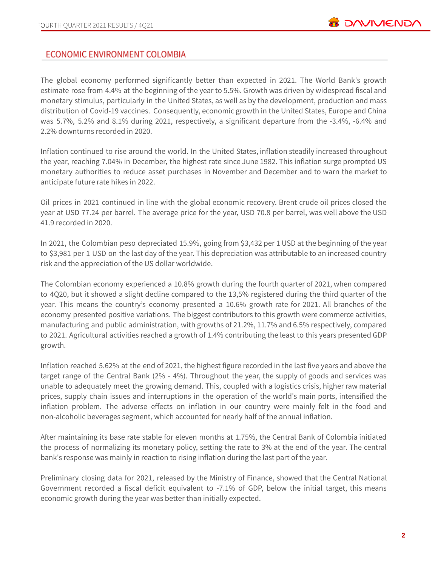# **ECONOMIC ENVIRONMENT COLOMBIA**

The global economy performed significantly better than expected in 2021. The World Bank's growth estimate rose from 4.4% at the beginning of the year to 5.5%. Growth was driven by widespread fiscal and monetary stimulus, particularly in the United States, as well as by the development, production and mass distribution of Covid-19 vaccines. Consequently, economic growth in the United States, Europe and China was 5.7%, 5.2% and 8.1% during 2021, respectively, a significant departure from the -3.4%, -6.4% and 2.2% downturns recorded in 2020.

Inflation continued to rise around the world. In the United States, inflation steadily increased throughout the year, reaching 7.04% in December, the highest rate since June 1982. This inflation surge prompted US monetary authorities to reduce asset purchases in November and December and to warn the market to anticipate future rate hikes in 2022.

Oil prices in 2021 continued in line with the global economic recovery. Brent crude oil prices closed the year at USD 77.24 per barrel. The average price for the year, USD 70.8 per barrel, was well above the USD 41.9 recorded in 2020.

In 2021, the Colombian peso depreciated 15.9%, going from \$3,432 per 1 USD at the beginning of the year to \$3,981 per 1 USD on the last day of the year. This depreciation was attributable to an increased country risk and the appreciation of the US dollar worldwide.

The Colombian economy experienced a 10.8% growth during the fourth quarter of 2021, when compared to 4Q20, but it showed a slight decline compared to the 13,5% registered during the third quarter of the year. This means the country's economy presented a 10.6% growth rate for 2021. All branches of the economy presented positive variations. The biggest contributors to this growth were commerce activities, manufacturing and public administration, with growths of 21.2%, 11.7% and 6.5% respectively, compared to 2021. Agricultural activities reached a growth of 1.4% contributing the least to this years presented GDP growth.

Inflation reached 5.62% at the end of 2021, the highest figure recorded in the last five years and above the target range of the Central Bank (2% - 4%). Throughout the year, the supply of goods and services was unable to adequately meet the growing demand. This, coupled with a logistics crisis, higher raw material prices, supply chain issues and interruptions in the operation of the world's main ports, intensified the inflation problem. The adverse effects on inflation in our country were mainly felt in the food and non-alcoholic beverages segment, which accounted for nearly half of the annual inflation.

After maintaining its base rate stable for eleven months at 1.75%, the Central Bank of Colombia initiated the process of normalizing its monetary policy, setting the rate to 3% at the end of the year. The central bank's response was mainly in reaction to rising inflation during the last part of the year.

Preliminary closing data for 2021, released by the Ministry of Finance, showed that the Central National Government recorded a fiscal deficit equivalent to -7.1% of GDP, below the initial target, this means economic growth during the year was better than initially expected.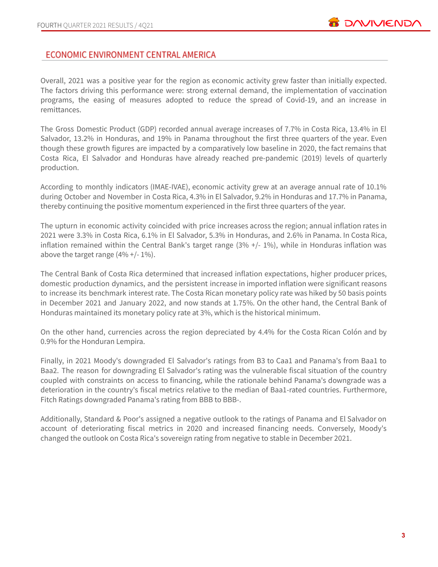# ECONOMIC ENVIRONMENT CENTRAL AMERICA

Overall, 2021 was a positive year for the region as economic activity grew faster than initially expected. The factors driving this performance were: strong external demand, the implementation of vaccination programs, the easing of measures adopted to reduce the spread of Covid-19, and an increase in remittances.

The Gross Domestic Product (GDP) recorded annual average increases of 7.7% in Costa Rica, 13.4% in El Salvador, 13.2% in Honduras, and 19% in Panama throughout the first three quarters of the year. Even though these growth figures are impacted by a comparatively low baseline in 2020, the fact remains that Costa Rica, El Salvador and Honduras have already reached pre-pandemic (2019) levels of quarterly production.

According to monthly indicators (IMAE-IVAE), economic activity grew at an average annual rate of 10.1% during October and November in Costa Rica, 4.3% in El Salvador, 9.2% in Honduras and 17.7% in Panama, thereby continuing the positive momentum experienced in the first three quarters of the year.

The upturn in economic activity coincided with price increases across the region; annual inflation rates in 2021 were 3.3% in Costa Rica, 6.1% in El Salvador, 5.3% in Honduras, and 2.6% in Panama. In Costa Rica, inflation remained within the Central Bank's target range  $(3\% +/- 1\%)$ , while in Honduras inflation was above the target range  $(4\% + (-1)\%)$ .

The Central Bank of Costa Rica determined that increased inflation expectations, higher producer prices, domestic production dynamics, and the persistent increase in imported inflation were significant reasons to increase its benchmark interest rate. The Costa Rican monetary policy rate was hiked by 50 basis points in December 2021 and January 2022, and now stands at 1.75%. On the other hand, the Central Bank of Honduras maintained its monetary policy rate at 3%, which is the historical minimum.

On the other hand, currencies across the region depreciated by 4.4% for the Costa Rican Colón and by 0.9% for the Honduran Lempira.

Finally, in 2021 Moody's downgraded El Salvador's ratings from B3 to Caa1 and Panama's from Baa1 to Baa2. The reason for downgrading El Salvador's rating was the vulnerable fiscal situation of the country coupled with constraints on access to financing, while the rationale behind Panama's downgrade was a deterioration in the country's fiscal metrics relative to the median of Baa1-rated countries. Furthermore, Fitch Ratings downgraded Panama's rating from BBB to BBB-.

Additionally, Standard & Poor's assigned a negative outlook to the ratings of Panama and El Salvador on account of deteriorating fiscal metrics in 2020 and increased financing needs. Conversely, Moody's changed the outlook on Costa Rica's sovereign rating from negative to stable in December 2021.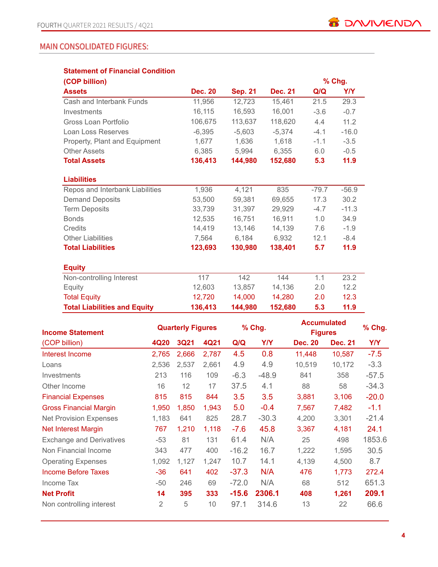# **MAIN CONSOLIDATED FIGURES:**

| <b>Statement of Financial Condition</b> |                |                |                |         |          |
|-----------------------------------------|----------------|----------------|----------------|---------|----------|
| (COP billion)                           |                |                |                |         | $%$ Chg. |
| <b>Assets</b>                           | <b>Dec. 20</b> | <b>Sep. 21</b> | <b>Dec. 21</b> | Q/Q     | Y/Y      |
| Cash and Interbank Funds                | 11,956         | 12,723         | 15,461         | 21.5    | 29.3     |
| Investments                             | 16,115         | 16,593         | 16,001         | $-3.6$  | $-0.7$   |
| Gross Loan Portfolio                    | 106,675        | 113,637        | 118,620        | 4.4     | 11.2     |
| Loan Loss Reserves                      | $-6,395$       | $-5,603$       | $-5,374$       | $-4.1$  | $-16.0$  |
| Property, Plant and Equipment           | 1,677          | 1,636          | 1,618          | $-1.1$  | $-3.5$   |
| <b>Other Assets</b>                     | 6,385          | 5,994          | 6,355          | 6.0     | $-0.5$   |
| <b>Total Assets</b>                     | 136,413        | 144,980        | 152,680        | 5.3     | 11.9     |
| <b>Liabilities</b>                      |                |                |                |         |          |
| Repos and Interbank Liabilities         | 1,936          | 4,121          | 835            | $-79.7$ | $-56.9$  |
| <b>Demand Deposits</b>                  | 53,500         | 59.381         | 69,655         | 17.3    | 30.2     |
| <b>Term Deposits</b>                    | 33,739         | 31,397         | 29,929         | $-4.7$  | $-11.3$  |
| <b>Bonds</b>                            | 12,535         | 16,751         | 16,911         | 1.0     | 34.9     |
| Credits                                 | 14,419         | 13,146         | 14,139         | 7.6     | $-1.9$   |
| <b>Other Liabilities</b>                | 7,564          | 6,184          | 6,932          | 12.1    | $-8.4$   |
| <b>Total Liabilities</b>                | 123,693        | 130,980        | 138,401        | 5.7     | 11.9     |
| <b>Equity</b>                           |                |                |                |         |          |
| Non-controlling Interest                | 117            | 142            | 144            | 1.1     | 23.2     |
| Equity                                  | 12,603         | 13,857         | 14,136         | 2.0     | 12.2     |
| <b>Total Equity</b>                     | 12,720         | 14,000         | 14,280         | 2.0     | 12.3     |
| <b>Total Liabilities and Equity</b>     | 136,413        | 144,980        | 152,680        | 5.3     | 11.9     |

| <b>Income Statement</b>         | <b>Quarterly Figures</b> |             |       | % Chg.  |            | <b>Accumulated</b><br><b>Figures</b> |                | % Chg.     |
|---------------------------------|--------------------------|-------------|-------|---------|------------|--------------------------------------|----------------|------------|
| (COP billion)                   | 4Q20                     | <b>3Q21</b> | 4Q21  | Q/Q     | <b>Y/Y</b> | <b>Dec. 20</b>                       | <b>Dec. 21</b> | <b>Y/Y</b> |
| Interest Income                 | 2,765                    | 2,666       | 2,787 | 4.5     | 0.8        | 11,448                               | 10,587         | $-7.5$     |
| Loans                           | 2,536                    | 2,537       | 2,661 | 4.9     | 4.9        | 10,519                               | 10,172         | $-3.3$     |
| <b>Investments</b>              | 213                      | 116         | 109   | $-6.3$  | $-48.9$    | 841                                  | 358            | $-57.5$    |
| Other Income                    | 16                       | 12          | 17    | 37.5    | 4.1        | 88                                   | 58             | $-34.3$    |
| <b>Financial Expenses</b>       | 815                      | 815         | 844   | 3.5     | 3.5        | 3,881                                | 3,106          | $-20.0$    |
| <b>Gross Financial Margin</b>   | 1,950                    | 1,850       | 1,943 | 5.0     | $-0.4$     | 7,567                                | 7,482          | $-1.1$     |
| <b>Net Provision Expenses</b>   | 1,183                    | 641         | 825   | 28.7    | $-30.3$    | 4,200                                | 3,301          | $-21.4$    |
| Net Interest Margin             | 767                      | 1,210       | 1,118 | $-7.6$  | 45.8       | 3,367                                | 4,181          | 24.1       |
| <b>Exchange and Derivatives</b> | $-53$                    | 81          | 131   | 61.4    | N/A        | 25                                   | 498            | 1853.6     |
| Non Financial Income            | 343                      | 477         | 400   | $-16.2$ | 16.7       | 1,222                                | 1,595          | 30.5       |
| <b>Operating Expenses</b>       | 1,092                    | 1,127       | 1,247 | 10.7    | 14.1       | 4,139                                | 4,500          | 8.7        |
| Income Before Taxes             | $-36$                    | 641         | 402   | $-37.3$ | N/A        | 476                                  | 1,773          | 272.4      |
| Income Tax                      | $-50$                    | 246         | 69    | $-72.0$ | N/A        | 68                                   | 512            | 651.3      |
| <b>Net Profit</b>               | 14                       | 395         | 333   | $-15.6$ | 2306.1     | 408                                  | 1,261          | 209.1      |
| Non controlling interest        | 2                        | 5           | 10    | 97.1    | 314.6      | 13                                   | 22             | 66.6       |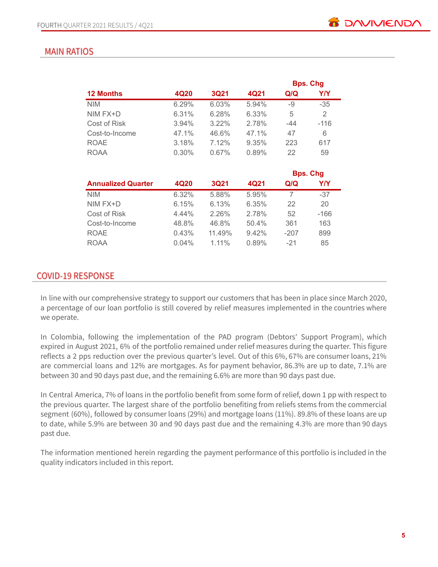# **MAIN RATIOS**

|                           |       |             |       |        | <b>Bps. Chg</b> |
|---------------------------|-------|-------------|-------|--------|-----------------|
| <b>12 Months</b>          | 4Q20  | <b>3Q21</b> | 4Q21  | Q/Q    | Y/Y             |
| <b>NIM</b>                | 6.29% | 6.03%       | 5.94% | -9     | $-35$           |
| NIM FX+D                  | 6.31% | 6.28%       | 6.33% | 5      | 2               |
| Cost of Risk              | 3.94% | 3.22%       | 2.78% | $-44$  | $-116$          |
| Cost-to-Income            | 47.1% | 46.6%       | 47.1% | 47     | 6               |
| <b>ROAE</b>               | 3.18% | 7.12%       | 9.35% | 223    | 617             |
| <b>ROAA</b>               | 0.30% | $0.67\%$    | 0.89% | 22     | 59              |
|                           |       |             |       |        | <b>Bps. Chg</b> |
| <b>Annualized Quarter</b> | 4Q20  | <b>3Q21</b> | 4Q21  | Q/Q    | Y/Y             |
| <b>NIM</b>                | 6.32% | 5.88%       | 5.95% | 7      | $-37$           |
| NIM FX+D                  | 6.15% | 6.13%       | 6.35% | 22     | 20              |
| Cost of Risk              | 4.44% | 2.26%       | 2.78% | 52     | -166            |
| Cost-to-Income            | 48.8% | 46.8%       | 50.4% | 361    | 163             |
| <b>ROAE</b>               | 0.43% | 11.49%      | 9.42% | $-207$ | 899             |
| ROAA                      | 0.04% | 1.11%       | 0.89% | $-21$  | 85              |

# **COVID-19 RESPONSE**

In line with our comprehensive strategy to support our customers that has been in place since March 2020, a percentage of our loan portfolio is still covered by relief measures implemented in the countries where we operate.

In Colombia, following the implementation of the PAD program (Debtors' Support Program), which expired in August 2021, 6% of the portfolio remained under relief measures during the quarter. This figure reflects a 2 pps reduction over the previous quarter's level. Out of this 6%, 67% are consumer loans, 21% are commercial loans and 12% are mortgages. As for payment behavior, 86.3% are up to date, 7.1% are between 30 and 90 days past due, and the remaining 6.6% are more than 90 days past due.

In Central America, 7% of loans in the portfolio benefit from some form of relief, down 1 pp with respect to the previous quarter. The largest share of the portfolio benefiting from reliefs stems from the commercial segment (60%), followed by consumer loans (29%) and mortgage loans (11%). 89.8% of these loans are up to date, while 5.9% are between 30 and 90 days past due and the remaining 4.3% are more than 90 days past due.

The information mentioned herein regarding the payment performance of this portfolio is included in the quality indicators included in this report.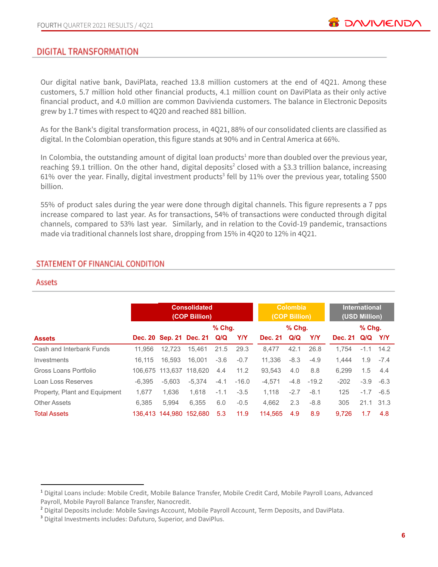

## **DIGITAL TRANSFORMATION**

Our digital native bank, DaviPlata, reached 13.8 million customers at the end of 4Q21. Among these customers, 5.7 million hold other financial products, 4.1 million count on DaviPlata as their only active financial product, and 4.0 million are common Davivienda customers. The balance in Electronic Deposits grew by 1.7 times with respect to 4Q20 and reached 881 billion.

As for the Bank's digital transformation process, in 4Q21, 88% of our consolidated clients are classified as digital. In the Colombian operation, this figure stands at 90% and in Central America at 66%.

In Colombia, the outstanding amount of digital loan products<sup>1</sup> more than doubled over the previous year, reaching \$9.1 trillion. On the other hand, digital deposits<sup>2</sup> closed with a \$3.3 trillion balance, increasing 61% over the year. Finally, digital investment products<sup>3</sup> fell by 11% over the previous year, totaling \$500 billion.

55% of product sales during the year were done through digital channels. This figure represents a 7 pps increase compared to last year. As for transactions, 54% of transactions were conducted through digital channels, compared to 53% last year. Similarly, and in relation to the Covid-19 pandemic, transactions made via traditional channels lost share, dropping from 15% in 4Q20 to 12% in 4Q21.

#### STATEMENT OF FINANCIAL CONDITION

#### Assets

|                               |          | <b>Consolidated</b><br>(COP Billion) |                             |          |            | <b>Colombia</b><br>(COP Billion) |          |            | <b>International</b><br>(USD Million) |          |        |
|-------------------------------|----------|--------------------------------------|-----------------------------|----------|------------|----------------------------------|----------|------------|---------------------------------------|----------|--------|
|                               |          |                                      |                             | $%$ Chg. |            |                                  | $%$ Chg. |            |                                       | $%$ Chq. |        |
| <b>Assets</b>                 |          |                                      | Dec. 20 Sep. 21 Dec. 21 Q/Q |          | <b>Y/Y</b> | <b>Dec. 21</b>                   | Q/Q      | <b>Y/Y</b> | <b>Dec. 21</b>                        | Q/Q Y/Y  |        |
| Cash and Interbank Funds      | 11.956   | 12.723                               | 15.461                      | 21.5     | 29.3       | 8.477                            | 42.1     | 26.8       | 1.754                                 | $-1.1$   | 14.2   |
| Investments                   | 16.115   | 16.593                               | 16.001                      | $-3.6$   | $-0.7$     | 11.336                           | $-8.3$   | $-4.9$     | 1.444                                 | 1.9      | $-7.4$ |
| Gross Loans Portfolio         |          | 106.675 113.637                      | 118.620                     | 4.4      | 11.2       | 93.543                           | 4.0      | 8.8        | 6.299                                 | 1.5      | 4.4    |
| Loan Loss Reserves            | $-6.395$ | $-5.603$                             | $-5.374$                    | $-4.1$   | $-16.0$    | $-4.571$                         | $-4.8$   | $-19.2$    | $-202$                                | $-3.9$   | $-6.3$ |
| Property, Plant and Equipment | 1.677    | 1.636                                | 1.618                       | $-1.1$   | $-3.5$     | 1.118                            | $-2.7$   | $-8.1$     | 125                                   | $-1.7$   | $-6.5$ |
| <b>Other Assets</b>           | 6.385    | 5.994                                | 6.355                       | 6.0      | $-0.5$     | 4.662                            | 2.3      | $-8.8$     | 305                                   | 21.1     | 31.3   |
| <b>Total Assets</b>           |          | 136.413 144.980 152.680              |                             | 5.3      | 11.9       | 114,565                          | 4.9      | 8.9        | 9.726                                 | 1.7      | 4.8    |

<sup>1</sup> Digital Loans include: Mobile Credit, Mobile Balance Transfer, Mobile Credit Card, Mobile Payroll Loans, Advanced Payroll, Mobile Payroll Balance Transfer, Nanocredit.

<sup>&</sup>lt;sup>2</sup> Digital Deposits include: Mobile Savings Account, Mobile Payroll Account, Term Deposits, and DaviPlata.

<sup>3</sup> Digital Investments includes: Dafuturo, Superior, and DaviPlus.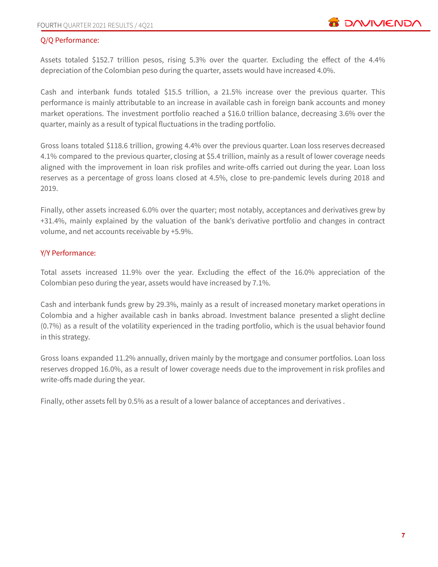#### Q/Q Performance:

Assets totaled \$152.7 trillion pesos, rising 5.3% over the quarter. Excluding the effect of the 4.4% depreciation of the Colombian peso during the quarter, assets would have increased 4.0%.

Cash and interbank funds totaled \$15.5 trillion, a 21.5% increase over the previous quarter. This performance is mainly attributable to an increase in available cash in foreign bank accounts and money market operations. The investment portfolio reached a \$16.0 trillion balance, decreasing 3.6% over the quarter, mainly as a result of typical fluctuations in the trading portfolio.

Gross loans totaled \$118.6 trillion, growing 4.4% over the previous quarter. Loan loss reserves decreased 4.1% compared to the previous quarter, closing at \$5.4 trillion, mainly as a result of lower coverage needs aligned with the improvement in loan risk profiles and write-offs carried out during the year. Loan loss reserves as a percentage of gross loans closed at 4.5%, close to pre-pandemic levels during 2018 and 2019.

Finally, other assets increased 6.0% over the quarter; most notably, acceptances and derivatives grew by +31.4%, mainly explained by the valuation of the bank's derivative portfolio and changes in contract volume, and net accounts receivable by +5.9%.

#### Y/Y Performance:

Total assets increased 11.9% over the year. Excluding the effect of the 16.0% appreciation of the Colombian peso during the year, assets would have increased by 7.1%.

Cash and interbank funds grew by 29.3%, mainly as a result of increased monetary market operations in Colombia and a higher available cash in banks abroad. Investment balance presented a slight decline (0.7%) as a result of the volatility experienced in the trading portfolio, which is the usual behavior found in this strategy.

Gross loans expanded 11.2% annually, driven mainly by the mortgage and consumer portfolios. Loan loss reserves dropped 16.0%, as a result of lower coverage needs due to the improvement in risk profiles and write-offs made during the year.

Finally, other assets fell by 0.5% as a result of a lower balance of acceptances and derivatives .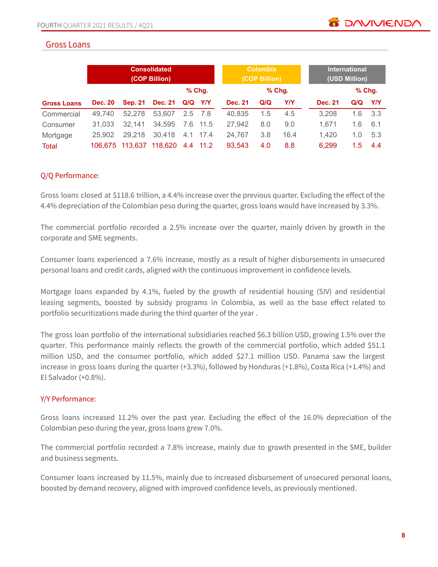# **Gross Loans**

|                    | <b>Consolidated</b><br>(COP Billion) |                |                |             |           | <b>Colombia</b><br>(COP Billion) |     |          | <b>International</b><br>(USD Million) |          |     |
|--------------------|--------------------------------------|----------------|----------------|-------------|-----------|----------------------------------|-----|----------|---------------------------------------|----------|-----|
|                    |                                      |                |                |             | $%$ Chg.  |                                  |     | $%$ Chg. |                                       | $%$ Chg. |     |
| <b>Gross Loans</b> | <b>Dec. 20</b>                       | <b>Sep. 21</b> | <b>Dec. 21</b> | $Q/Q$ $Y/Y$ |           | <b>Dec. 21</b>                   | Q/Q | Y/Y      | <b>Dec. 21</b>                        | Q/Q      | Y/Y |
| Commercial         | 49.740                               | 52.278         | 53.607         |             | $2.5$ 7.8 | 40.835                           | 1.5 | 4.5      | 3,208                                 | 1.6      | 3.3 |
| Consumer           | 31.033                               | 32.141         | 34,595         |             | 7.6 11.5  | 27,942                           | 8.0 | 9.0      | 1.671                                 | 1.6      | 6.1 |
| Mortgage           | 25,902                               | 29,218         | 30.418         |             | 4.1 17.4  | 24.767                           | 3.8 | 16.4     | 1.420                                 | 1.0      | 5.3 |
| Total              | 106.675                              | 113,637        | 118,620        |             | 4.4 11.2  | 93,543                           | 4.0 | 8.8      | 6,299                                 | 1.5      | 4.4 |

#### Q/Q Performance:

Gross loans closed at \$118.6 trillion, a 4.4% increase over the previous quarter. Excluding the effect of the 4.4% depreciation of the Colombian peso during the quarter, gross loans would have increased by 3.3%.

The commercial portfolio recorded a 2.5% increase over the quarter, mainly driven by growth in the corporate and SME segments.

Consumer loans experienced a 7.6% increase, mostly as a result of higher disbursements in unsecured personal loans and credit cards, aligned with the continuous improvement in confidence levels.

Mortgage loans expanded by 4.1%, fueled by the growth of residential housing (SIV) and residential leasing segments, boosted by subsidy programs in Colombia, as well as the base effect related to portfolio securitizations made during the third quarter of the year .

The gross loan portfolio of the international subsidiaries reached \$6.3 billion USD, growing 1.5% over the quarter. This performance mainly reflects the growth of the commercial portfolio, which added \$51.1 million USD, and the consumer portfolio, which added \$27.1 million USD. Panama saw the largest increase in gross loans during the quarter (+3.3%), followed by Honduras (+1.8%), Costa Rica (+1.4%) and El Salvador (+0.8%).

#### Y/Y Performance:

Gross loans increased 11.2% over the past year. Excluding the effect of the 16.0% depreciation of the Colombian peso during the year, gross loans grew 7.0%.

The commercial portfolio recorded a 7.8% increase, mainly due to growth presented in the SME, builder and business segments.

Consumer loans increased by 11.5%, mainly due to increased disbursement of unsecured personal loans, boosted by demand recovery, aligned with improved confidence levels, as previously mentioned.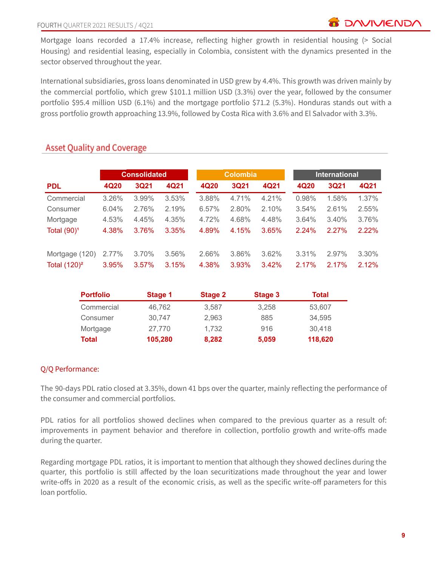Mortgage loans recorded a 17.4% increase, reflecting higher growth in residential housing (> Social Housing) and residential leasing, especially in Colombia, consistent with the dynamics presented in the sector observed throughout the year.

International subsidiaries, gross loans denominated in USD grew by 4.4%. This growth was driven mainly by the commercial portfolio, which grew \$101.1 million USD (3.3%) over the year, followed by the consumer portfolio \$95.4 million USD (6.1%) and the mortgage portfolio \$71.2 (5.3%). Honduras stands out with a gross portfolio growth approaching 13.9%, followed by Costa Rica with 3.6% and El Salvador with 3.3%.

|                         |       | <b>Consolidated</b> |       | <b>Colombia</b> |       |       |       | <b>International</b> |       |
|-------------------------|-------|---------------------|-------|-----------------|-------|-------|-------|----------------------|-------|
| <b>PDL</b>              | 4Q20  | 3Q21                | 4Q21  | 4Q20            | 3Q21  | 4Q21  | 4Q20  | 3Q21                 | 4Q21  |
| Commercial              | 3.26% | 3.99%               | 3.53% | 3.88%           | 4.71% | 4.21% | 0.98% | 1.58%                | 1.37% |
| Consumer                | 6.04% | 2.76%               | 2.19% | 6.57%           | 2.80% | 2.10% | 3.54% | 2.61%                | 2.55% |
| Mortgage                | 4.53% | 4.45%               | 4.35% | 4.72%           | 4.68% | 4.48% | 3.64% | 3.40%                | 3.76% |
| Total (90) <sup>1</sup> | 4.38% | 3.76%               | 3.35% | 4.89%           | 4.15% | 3.65% | 2.24% | 2.27%                | 2.22% |
| Mortgage (120)          | 2.77% | 3.70%               | 3.56% | 2.66%           | 3.86% | 3.62% | 3.31% | 2.97%                | 3.30% |
| Total $(120)^2$         | 3.95% | 3.57%               | 3.15% | 4.38%           | 3.93% | 3.42% | 2.17% | 2.17%                | 2.12% |

# **Asset Quality and Coverage**

| <b>Portfolio</b> | Stage 1 | <b>Stage 2</b> | Stage 3 | Total   |
|------------------|---------|----------------|---------|---------|
| Commercial       | 46.762  | 3.587          | 3,258   | 53,607  |
| Consumer         | 30.747  | 2.963          | 885     | 34,595  |
| Mortgage         | 27.770  | 1,732          | 916     | 30,418  |
| Total            | 105,280 | 8,282          | 5,059   | 118,620 |

#### Q/Q Performance:

The 90-days PDL ratio closed at 3.35%, down 41 bps over the quarter, mainly reflecting the performance of the consumer and commercial portfolios.

PDL ratios for all portfolios showed declines when compared to the previous quarter as a result of: improvements in payment behavior and therefore in collection, portfolio growth and write-offs made during the quarter.

Regarding mortgage PDL ratios, it is important to mention that although they showed declines during the quarter, this portfolio is still affected by the loan securitizations made throughout the year and lower write-offs in 2020 as a result of the economic crisis, as well as the specific write-off parameters for this loan portfolio.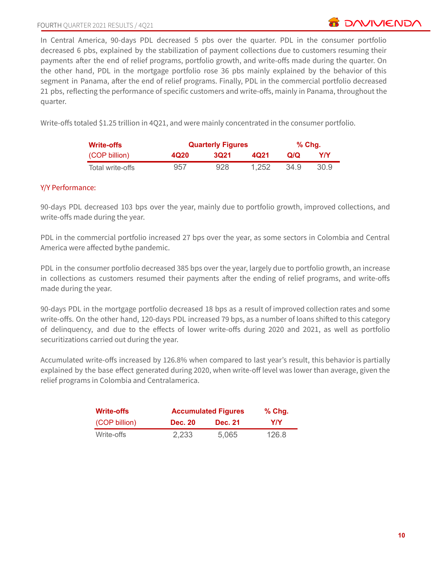In Central America, 90-days PDL decreased 5 pbs over the quarter. PDL in the consumer portfolio decreased 6 pbs, explained by the stabilization of payment collections due to customers resuming their payments after the end of relief programs, portfolio growth, and write-offs made during the quarter. On the other hand, PDL in the mortgage portfolio rose 36 pbs mainly explained by the behavior of this segment in Panama, after the end of relief programs. Finally, PDL in the commercial portfolio decreased 21 pbs, reflecting the performance of specific customers and write-offs, mainly in Panama, throughout the quarter.

Write-offs totaled \$1.25 trillion in 4Q21, and were mainly concentrated in the consumer portfolio.

| <b>Write-offs</b> |      | <b>Quarterly Figures</b> | % Chq. |      |      |
|-------------------|------|--------------------------|--------|------|------|
| (COP billion)     | 4Q20 | 3021                     | 4021   | Q/Q  | YN   |
| Total write-offs  | 957  | 928                      | 1.252  | 34.9 | 30.9 |

#### Y/Y Performance:

90-days PDL decreased 103 bps over the year, mainly due to portfolio growth, improved collections, and write-offs made during the year.

PDL in the commercial portfolio increased 27 bps over the year, as some sectors in Colombia and Central America were affected bythe pandemic.

PDL in the consumer portfolio decreased 385 bps over the year, largely due to portfolio growth, an increase in collections as customers resumed their payments after the ending of relief programs, and write-offs made during the year.

90-days PDL in the mortgage portfolio decreased 18 bps as a result of improved collection rates and some write-offs. On the other hand, 120-days PDL increased 79 bps, as a number of loans shifted to this category of delinquency, and due to the effects of lower write-offs during 2020 and 2021, as well as portfolio securitizations carried out during the year.

Accumulated write-offs increased by 126.8% when compared to last year's result, this behavior is partially explained by the base effect generated during 2020, when write-off level was lower than average, given the relief programs in Colombia and Centralamerica.

| <b>Write-offs</b> |                | <b>Accumulated Figures</b> |       |  |  |  |
|-------------------|----------------|----------------------------|-------|--|--|--|
| (COP billion)     | <b>Dec. 20</b> | <b>Dec. 21</b>             | YN    |  |  |  |
| Write-offs        | 2,233          | 5,065                      | 126.8 |  |  |  |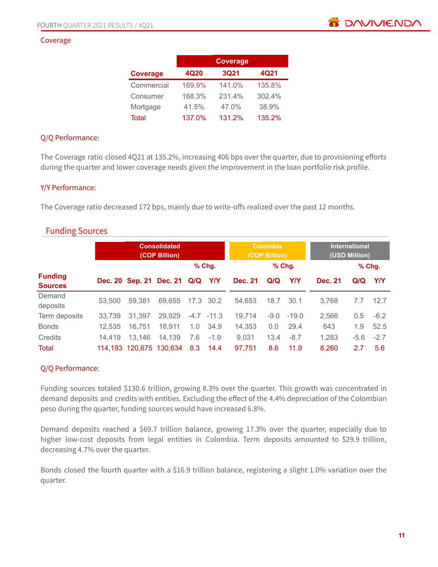#### Coverage

|                 | <b>Coverage</b> |             |        |  |  |  |  |  |
|-----------------|-----------------|-------------|--------|--|--|--|--|--|
| <b>Coverage</b> | 4Q20            | <b>3Q21</b> | 4Q21   |  |  |  |  |  |
| Commercial      | 169.9%          | 141.0%      | 135.8% |  |  |  |  |  |
| Consumer        | 168.3%          | 231.4%      | 302.4% |  |  |  |  |  |
| Mortgage        | 41.5%           | 47.0%       | 38.9%  |  |  |  |  |  |
| Total           | 137.0%          | 131.2%      | 135.2% |  |  |  |  |  |

#### Q/Q Performance:

The Coverage ratio closed 4Q21 at 135.2%, increasing 406 bps over the quarter, due to provisioning efforts during the quarter and lower coverage needs given the improvement in the loan portfolio risk profile.

#### Y/Y Performance:

The Coverage ratio decreased 172 bps, mainly due to write-offs realized over the past 12 months.

# **Funding Sources**

| <b>Consolidated</b><br>(COP Billion) |        |        |                             |     |              | <b>Colombia</b><br>(COP Billion) |        |            | <b>International</b><br>(USD Million) |        |          |
|--------------------------------------|--------|--------|-----------------------------|-----|--------------|----------------------------------|--------|------------|---------------------------------------|--------|----------|
|                                      |        |        |                             |     | $%$ Chg.     |                                  |        | $%$ Chg.   |                                       |        | $%$ Chg. |
| <b>Funding</b><br><b>Sources</b>     |        |        | Dec. 20 Sep. 21 Dec. 21 Q/Q |     | Y/Y          | <b>Dec. 21</b>                   | Q/Q    | <b>Y/Y</b> | <b>Dec. 21</b>                        | Q/Q    | Y/Y      |
| Demand<br>deposits                   | 53,500 | 59.381 | 69,655                      |     | 17.3 30.2    | 54.653                           | 18.7   | 30.1       | 3,768                                 | 7.7    | 12.7     |
| Term deposits                        | 33.739 | 31.397 | 29,929                      |     | $-4.7 -11.3$ | 19.714                           | $-9.0$ | $-19.0$    | 2,566                                 | 0.5    | $-6.2$   |
| <b>Bonds</b>                         | 12.535 | 16,751 | 16.911                      | 1.0 | 34.9         | 14,353                           | 0.0    | 29.4       | 643                                   | 1.9    | 52.5     |
| Credits                              | 14,419 | 13,146 | 14,139                      | 7.6 | $-1.9$       | 9,031                            | 13.4   | $-8.7$     | 1,283                                 | $-5.6$ | $-2.7$   |
| Total                                |        |        | 114,193 120,675 130,634     | 8.3 | 14.4         | 97,751                           | 8.6    | 11.9       | 8,260                                 | 2.7    | 5.6      |

#### Q/Q Performance:

Funding sources totaled \$130.6 trillion, growing 8.3% over the quarter. This growth was concentrated in demand deposits and credits with entities. Excluding the effect of the 4.4% depreciation of the Colombian peso during the quarter, funding sources would have increased 6.8%.

Demand deposits reached a \$69.7 trillion balance, growing 17.3% over the quarter, especially due to higher low-cost deposits from legal entities in Colombia. Term deposits amounted to \$29.9 trillion, decreasing 4.7% over the quarter.

Bonds closed the fourth quarter with a \$16.9 trillion balance, registering a slight 1.0% variation over the quarter.

**B** DAVIVIEND/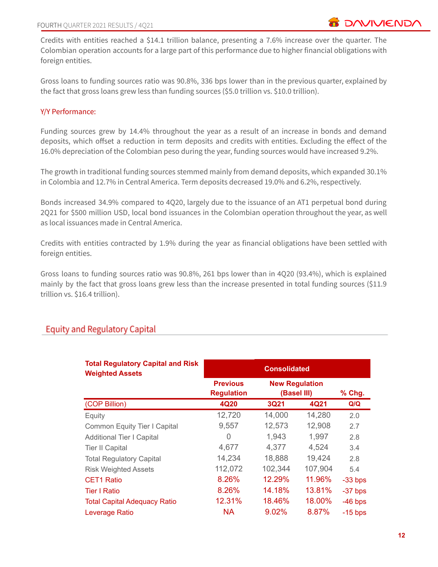Credits with entities reached a \$14.1 trillion balance, presenting a 7.6% increase over the quarter. The Colombian operation accounts for a large part of this performance due to higher financial obligations with foreign entities.

Gross loans to funding sources ratio was 90.8%, 336 bps lower than in the previous quarter, explained by the fact that gross loans grew less than funding sources (\$5.0 trillion vs. \$10.0 trillion).

#### Y/Y Performance:

Funding sources grew by 14.4% throughout the year as a result of an increase in bonds and demand deposits, which offset a reduction in term deposits and credits with entities. Excluding the effect of the 16.0% depreciation of the Colombian peso during the year, funding sources would have increased 9.2%.

The growth in traditional funding sources stemmed mainly from demand deposits, which expanded 30.1% in Colombia and 12.7% in Central America. Term deposits decreased 19.0% and 6.2%, respectively.

Bonds increased 34.9% compared to 4Q20, largely due to the issuance of an AT1 perpetual bond during 2Q21 for \$500 million USD, local bond issuances in the Colombian operation throughout the year, as well as local issuances made in Central America.

Credits with entities contracted by 1.9% during the year as financial obligations have been settled with foreign entities.

Gross loans to funding sources ratio was 90.8%, 261 bps lower than in 4Q20 (93.4%), which is explained mainly by the fact that gross loans grew less than the increase presented in total funding sources (\$11.9 trillion vs. \$16.4 trillion).

| <b>Total Regulatory Capital and Risk</b><br><b>Weighted Assets</b> | <b>Consolidated</b>                  |                                      |         |           |  |  |  |
|--------------------------------------------------------------------|--------------------------------------|--------------------------------------|---------|-----------|--|--|--|
|                                                                    | <b>Previous</b><br><b>Regulation</b> | <b>New Regulation</b><br>(Basel III) |         | % Chg.    |  |  |  |
| (COP Billion)                                                      | 4Q20                                 | <b>3Q21</b>                          | 4Q21    | Q/Q       |  |  |  |
| Equity                                                             | 12,720                               | 14,000                               | 14,280  | 2.0       |  |  |  |
| <b>Common Equity Tier I Capital</b>                                | 9,557                                | 12,573                               | 12,908  | 2.7       |  |  |  |
| <b>Additional Tier I Capital</b>                                   | 0                                    | 1,943                                | 1,997   | 2.8       |  |  |  |
| <b>Tier II Capital</b>                                             | 4,677                                | 4,377                                | 4,524   | 3.4       |  |  |  |
| <b>Total Regulatory Capital</b>                                    | 14,234                               | 18,888                               | 19,424  | 2.8       |  |  |  |
| <b>Risk Weighted Assets</b>                                        | 112,072                              | 102,344                              | 107,904 | 5.4       |  |  |  |
| <b>CET1 Ratio</b>                                                  | 8.26%                                | 12.29%                               | 11.96%  | $-33$ bps |  |  |  |
| <b>Tier I Ratio</b>                                                | 8.26%                                | 14.18%                               | 13.81%  | $-37$ bps |  |  |  |
| <b>Total Capital Adequacy Ratio</b>                                | 12.31%                               | 18.46%                               | 18.00%  | $-46$ bps |  |  |  |
| Leverage Ratio                                                     | <b>NA</b>                            | 9.02%                                | 8.87%   | $-15$ bps |  |  |  |

# **Equity and Regulatory Capital**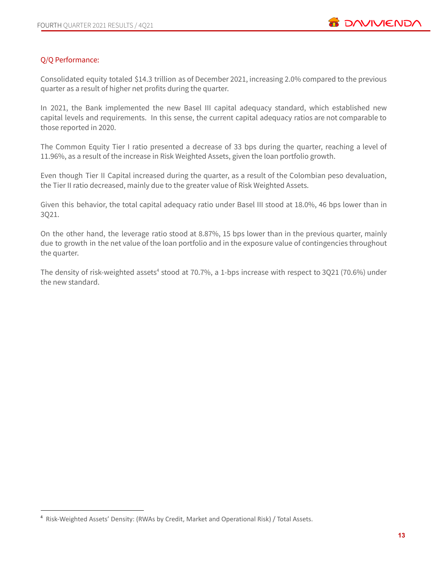## Q/Q Performance:

Consolidated equity totaled \$14.3 trillion as of December 2021, increasing 2.0% compared to the previous quarter as a result of higher net profits during the quarter.

In 2021, the Bank implemented the new Basel III capital adequacy standard, which established new capital levels and requirements. In this sense, the current capital adequacy ratios are not comparable to those reported in 2020.

The Common Equity Tier I ratio presented a decrease of 33 bps during the quarter, reaching a level of 11.96%, as a result of the increase in Risk Weighted Assets, given the loan portfolio growth.

Even though Tier II Capital increased during the quarter, as a result of the Colombian peso devaluation, the Tier II ratio decreased, mainly due to the greater value of Risk Weighted Assets.

Given this behavior, the total capital adequacy ratio under Basel III stood at 18.0%, 46 bps lower than in 3Q21.

On the other hand, the leverage ratio stood at 8.87%, 15 bps lower than in the previous quarter, mainly due to growth in the net value of the loan portfolio and in the exposure value of contingencies throughout the quarter.

The density of risk-weighted assets<sup>4</sup> stood at 70.7%, a 1-bps increase with respect to 3Q21 (70.6%) under the new standard.

<sup>4</sup> Risk-Weighted Assets' Density: (RWAs by Credit, Market and Operational Risk) / Total Assets.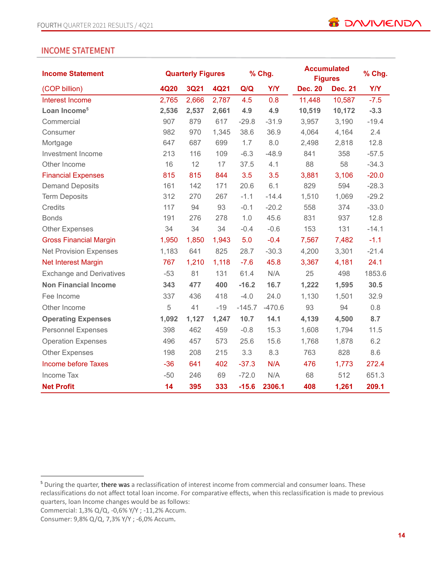## **INCOME STATEMENT**

| <b>Income Statement</b>         | <b>Quarterly Figures</b> |             | % Chg.      |          | <b>Accumulated</b><br><b>Figures</b> |                | % Chg.         |            |
|---------------------------------|--------------------------|-------------|-------------|----------|--------------------------------------|----------------|----------------|------------|
| (COP billion)                   | <b>4Q20</b>              | <b>3Q21</b> | <b>4Q21</b> | Q/Q      | <b>Y/Y</b>                           | <b>Dec. 20</b> | <b>Dec. 21</b> | <b>Y/Y</b> |
| Interest Income                 | 2,765                    | 2,666       | 2,787       | 4.5      | 0.8                                  | 11,448         | 10,587         | $-7.5$     |
| Loan Income <sup>5</sup>        | 2,536                    | 2,537       | 2,661       | 4.9      | 4.9                                  | 10,519         | 10,172         | $-3.3$     |
| Commercial                      | 907                      | 879         | 617         | $-29.8$  | $-31.9$                              | 3,957          | 3,190          | $-19.4$    |
| Consumer                        | 982                      | 970         | 1,345       | 38.6     | 36.9                                 | 4,064          | 4,164          | 2.4        |
| Mortgage                        | 647                      | 687         | 699         | 1.7      | 8.0                                  | 2,498          | 2,818          | 12.8       |
| Investment Income               | 213                      | 116         | 109         | $-6.3$   | $-48.9$                              | 841            | 358            | $-57.5$    |
| Other Income                    | 16                       | 12          | 17          | 37.5     | 4.1                                  | 88             | 58             | $-34.3$    |
| <b>Financial Expenses</b>       | 815                      | 815         | 844         | 3.5      | 3.5                                  | 3,881          | 3,106          | $-20.0$    |
| <b>Demand Deposits</b>          | 161                      | 142         | 171         | 20.6     | 6.1                                  | 829            | 594            | $-28.3$    |
| <b>Term Deposits</b>            | 312                      | 270         | 267         | $-1.1$   | $-14.4$                              | 1,510          | 1,069          | $-29.2$    |
| Credits                         | 117                      | 94          | 93          | $-0.1$   | $-20.2$                              | 558            | 374            | $-33.0$    |
| <b>Bonds</b>                    | 191                      | 276         | 278         | 1.0      | 45.6                                 | 831            | 937            | 12.8       |
| <b>Other Expenses</b>           | 34                       | 34          | 34          | $-0.4$   | $-0.6$                               | 153            | 131            | $-14.1$    |
| <b>Gross Financial Margin</b>   | 1,950                    | 1,850       | 1,943       | 5.0      | $-0.4$                               | 7,567          | 7,482          | $-1.1$     |
| <b>Net Provision Expenses</b>   | 1,183                    | 641         | 825         | 28.7     | $-30.3$                              | 4,200          | 3,301          | $-21.4$    |
| <b>Net Interest Margin</b>      | 767                      | 1,210       | 1,118       | $-7.6$   | 45.8                                 | 3,367          | 4,181          | 24.1       |
| <b>Exchange and Derivatives</b> | $-53$                    | 81          | 131         | 61.4     | N/A                                  | 25             | 498            | 1853.6     |
| <b>Non Financial Income</b>     | 343                      | 477         | 400         | $-16.2$  | 16.7                                 | 1,222          | 1,595          | 30.5       |
| Fee Income                      | 337                      | 436         | 418         | $-4.0$   | 24.0                                 | 1,130          | 1,501          | 32.9       |
| Other Income                    | 5                        | 41          | $-19$       | $-145.7$ | $-470.6$                             | 93             | 94             | 0.8        |
| <b>Operating Expenses</b>       | 1,092                    | 1,127       | 1,247       | 10.7     | 14.1                                 | 4,139          | 4,500          | 8.7        |
| <b>Personnel Expenses</b>       | 398                      | 462         | 459         | $-0.8$   | 15.3                                 | 1,608          | 1,794          | 11.5       |
| <b>Operation Expenses</b>       | 496                      | 457         | 573         | 25.6     | 15.6                                 | 1,768          | 1,878          | 6.2        |
| <b>Other Expenses</b>           | 198                      | 208         | 215         | 3.3      | 8.3                                  | 763            | 828            | 8.6        |
| <b>Income before Taxes</b>      | $-36$                    | 641         | 402         | $-37.3$  | N/A                                  | 476            | 1,773          | 272.4      |
| Income Tax                      | $-50$                    | 246         | 69          | $-72.0$  | N/A                                  | 68             | 512            | 651.3      |
| <b>Net Profit</b>               | 14                       | 395         | 333         | $-15.6$  | 2306.1                               | 408            | 1,261          | 209.1      |

Commercial: 1,3% Q/Q, -0,6% Y/Y ; -11,2% Accum.

Consumer: 9,8% Q/Q, 7,3% Y/Y ; -6,0% Accum.

<sup>5</sup> During the quarter, there was a reclassification of interest income from commercial and consumer loans. These reclassifications do not affect total loan income. For comparative effects, when this reclassification is made to previous quarters, loan Income changes would be as follows: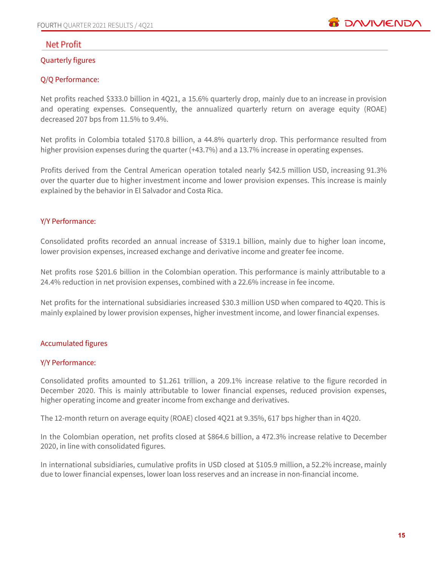

## **Net Profit**

#### Quarterly figures

#### Q/Q Performance:

Net profits reached \$333.0 billion in 4Q21, a 15.6% quarterly drop, mainly due to an increase in provision and operating expenses. Consequently, the annualized quarterly return on average equity (ROAE) decreased 207 bps from 11.5% to 9.4%.

Net profits in Colombia totaled \$170.8 billion, a 44.8% quarterly drop. This performance resulted from higher provision expenses during the quarter (+43.7%) and a 13.7% increase in operating expenses.

Profits derived from the Central American operation totaled nearly \$42.5 million USD, increasing 91.3% over the quarter due to higher investment income and lower provision expenses. This increase is mainly explained by the behavior in El Salvador and Costa Rica.

#### Y/Y Performance:

Consolidated profits recorded an annual increase of \$319.1 billion, mainly due to higher loan income, lower provision expenses, increased exchange and derivative income and greater fee income.

Net profits rose \$201.6 billion in the Colombian operation. This performance is mainly attributable to a 24.4% reduction in net provision expenses, combined with a 22.6% increase in fee income.

Net profits for the international subsidiaries increased \$30.3 million USD when compared to 4Q20. This is mainly explained by lower provision expenses, higher investment income, and lower financial expenses.

#### Accumulated figures

#### Y/Y Performance:

Consolidated profits amounted to \$1.261 trillion, a 209.1% increase relative to the figure recorded in December 2020. This is mainly attributable to lower financial expenses, reduced provision expenses, higher operating income and greater income from exchange and derivatives.

The 12-month return on average equity (ROAE) closed 4Q21 at 9.35%, 617 bps higher than in 4Q20.

In the Colombian operation, net profits closed at \$864.6 billion, a 472.3% increase relative to December 2020, in line with consolidated figures.

In international subsidiaries, cumulative profits in USD closed at \$105.9 million, a 52.2% increase, mainly due to lower financial expenses, lower loan loss reserves and an increase in non-financial income.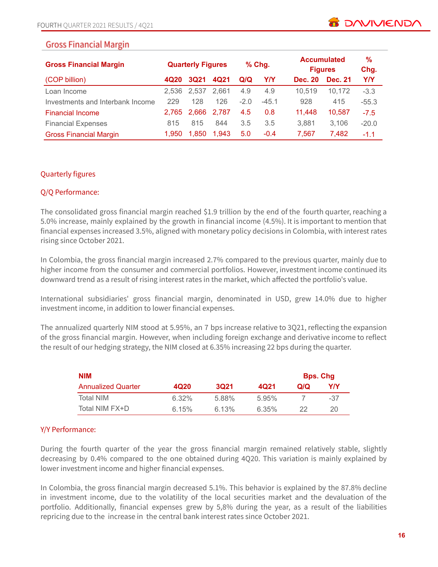| <b>Gross Financial Margin</b>    | <b>Quarterly Figures</b> |             | $%$ Chg. |        | <b>Accumulated</b><br><b>Figures</b> |                | %<br>Chg.      |            |
|----------------------------------|--------------------------|-------------|----------|--------|--------------------------------------|----------------|----------------|------------|
| (COP billion)                    | 4Q20                     | <b>3Q21</b> | 4Q21     | Q/Q    | Y/Y                                  | <b>Dec. 20</b> | <b>Dec. 21</b> | <b>Y/Y</b> |
| Loan Income                      | 2.536                    | 2.537       | 2.661    | 4.9    | 4.9                                  | 10.519         | 10.172         | $-3.3$     |
| Investments and Interbank Income | 229                      | 128         | 126      | $-2.0$ | $-45.1$                              | 928            | 415            | $-55.3$    |
| <b>Financial Income</b>          | 2.765                    | 2.666       | 2.787    | 4.5    | 0.8                                  | 11.448         | 10,587         | $-7.5$     |
| <b>Financial Expenses</b>        | 815                      | 815         | 844      | 3.5    | 3.5                                  | 3.881          | 3,106          | $-20.0$    |
| <b>Gross Financial Margin</b>    | 1.950                    | 1.850       | 1.943    | 5.0    | $-0.4$                               | 7.567          | 7.482          | $-1.1$     |

#### Quarterly figures

#### Q/Q Performance:

The consolidated gross financial margin reached \$1.9 trillion by the end of the fourth quarter, reaching a 5.0% increase, mainly explained by the growth in financial income (4.5%). It is important to mention that financial expenses increased 3.5%, aligned with monetary policy decisions in Colombia, with interest rates rising since October 2021.

In Colombia, the gross financial margin increased 2.7% compared to the previous quarter, mainly due to higher income from the consumer and commercial portfolios. However, investment income continued its downward trend as a result of rising interest rates in the market, which affected the portfolio's value.

International subsidiaries' gross financial margin, denominated in USD, grew 14.0% due to higher investment income, in addition to lower financial expenses.

The annualized quarterly NIM stood at 5.95%, an 7 bps increase relative to 3Q21, reflecting the expansion of the gross financial margin. However, when including foreign exchange and derivative income to reflect the result of our hedging strategy, the NIM closed at 6.35% increasing 22 bps during the quarter.

| <b>NIM</b>                |                  |             |       |     | <b>Bps. Chg</b> |
|---------------------------|------------------|-------------|-------|-----|-----------------|
| <b>Annualized Quarter</b> | 4Q <sub>20</sub> | <b>3Q21</b> | 4Q21  | Q/Q | Y/Y             |
| <b>Total NIM</b>          | 6.32%            | 5.88%       | 5.95% |     | -37             |
| Total NIM FX+D            | 6.15%            | 6.13%       | 6.35% | 22  | 20              |

#### Y/Y Performance:

During the fourth quarter of the year the gross financial margin remained relatively stable, slightly decreasing by 0.4% compared to the one obtained during 4Q20. This variation is mainly explained by lower investment income and higher financial expenses.

In Colombia, the gross financial margin decreased 5.1%. This behavior is explained by the 87.8% decline in investment income, due to the volatility of the local securities market and the devaluation of the portfolio. Additionally, financial expenses grew by 5,8% during the year, as a result of the liabilities repricing due to the increase in the central bank interest rates since October 2021.

**B** DAVIVIEND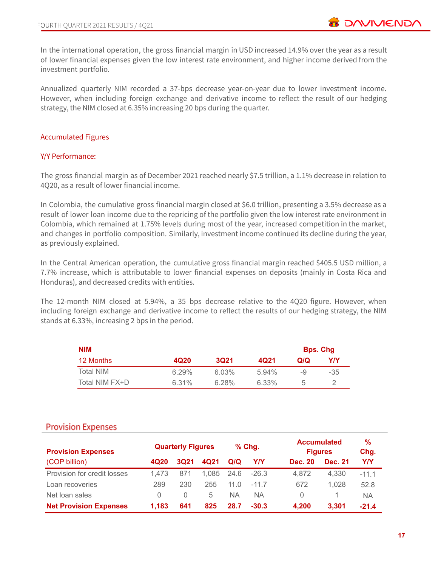In the international operation, the gross financial margin in USD increased 14.9% over the year as a result of lower financial expenses given the low interest rate environment, and higher income derived from the investment portfolio.

Annualized quarterly NIM recorded a 37-bps decrease year-on-year due to lower investment income. However, when including foreign exchange and derivative income to reflect the result of our hedging strategy, the NIM closed at 6.35% increasing 20 bps during the quarter.

#### Accumulated Figures

#### Y/Y Performance:

The gross financial margin as of December 2021 reached nearly \$7.5 trillion, a 1.1% decrease in relation to 4Q20, as a result of lower financial income.

In Colombia, the cumulative gross financial margin closed at \$6.0 trillion, presenting a 3.5% decrease as a result of lower loan income due to the repricing of the portfolio given the low interest rate environment in Colombia, which remained at 1.75% levels during most of the year, increased competition in the market, and changes in portfolio composition. Similarly, investment income continued its decline during the year, as previously explained.

In the Central American operation, the cumulative gross financial margin reached \$405.5 USD million, a 7.7% increase, which is attributable to lower financial expenses on deposits (mainly in Costa Rica and Honduras), and decreased credits with entities.

The 12-month NIM closed at 5.94%, a 35 bps decrease relative to the 4Q20 figure. However, when including foreign exchange and derivative income to reflect the results of our hedging strategy, the NIM stands at 6.33%, increasing 2 bps in the period.

| <b>NIM</b>     |       |             |       |     | <b>Bps. Chg</b> |
|----------------|-------|-------------|-------|-----|-----------------|
| 12 Months      | 4Q20  | <b>3Q21</b> | 4Q21  | Q/Q | YN              |
| Total NIM      | 6.29% | 6.03%       | 5.94% | -9  | $-35$           |
| Total NIM FX+D | 6.31% | $6.28\%$    | 6.33% | 5   |                 |

# **Provision Expenses**

| <b>Provision Expenses</b>     |       | <b>Quarterly Figures</b> |       |      | % Chg.  |                | <b>Accumulated</b><br><b>Figures</b> | %<br>Chg. |
|-------------------------------|-------|--------------------------|-------|------|---------|----------------|--------------------------------------|-----------|
| (COP billion)                 | 4Q20  | 3Q21                     | 4Q21  | Q/Q  | YN      | <b>Dec. 20</b> | <b>Dec. 21</b>                       | YN        |
| Provision for credit losses   | 1.473 | 871                      | 1.085 | 24.6 | $-26.3$ | 4.872          | 4,330                                | $-11.1$   |
| Loan recoveries               | 289   | 230                      | 255   | 11 O | $-117$  | 672            | 1.028                                | 52.8      |
| Net loan sales                | 0     | $\left( \right)$         | 5     | NA.  | ΝA      | 0              |                                      | <b>NA</b> |
| <b>Net Provision Expenses</b> | 1.183 | 641                      | 825   | 28.7 | $-30.3$ | 4,200          | 3,301                                | $-21.4$   |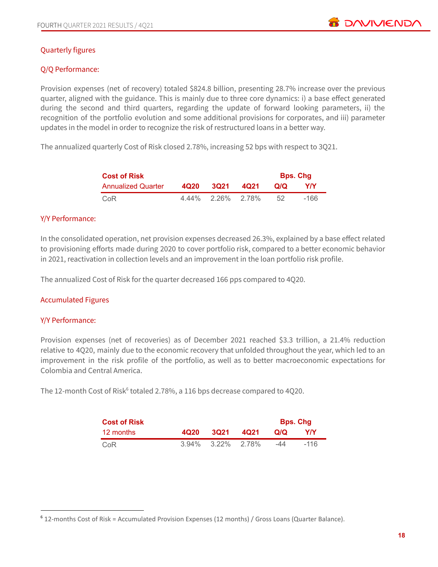## Quarterly figures

#### Q/Q Performance:

Provision expenses (net of recovery) totaled \$824.8 billion, presenting 28.7% increase over the previous quarter, aligned with the guidance. This is mainly due to three core dynamics: i) a base effect generated during the second and third quarters, regarding the update of forward looking parameters, ii) the recognition of the portfolio evolution and some additional provisions for corporates, and iii) parameter updates in the model in order to recognize the risk of restructured loans in a better way.

The annualized quarterly Cost of Risk closed 2.78%, increasing 52 bps with respect to 3Q21.

| <b>Cost of Risk</b>       | <b>Bps. Chg</b> |             |      |     |      |  |  |
|---------------------------|-----------------|-------------|------|-----|------|--|--|
| <b>Annualized Quarter</b> | 4Q20            | 3Q21        | 4021 | Q/Q | YN   |  |  |
| CoR                       | 4.44%           | 2.26% 2.78% |      | 52  | -166 |  |  |

#### Y/Y Performance:

In the consolidated operation, net provision expenses decreased 26.3%, explained by a base effect related to provisioning efforts made during 2020 to cover portfolio risk, compared to a better economic behavior in 2021, reactivation in collection levels and an improvement in the loan portfolio risk profile.

The annualized Cost of Risk for the quarter decreased 166 pps compared to 4Q20.

#### Accumulated Figures

#### Y/Y Performance:

Provision expenses (net of recoveries) as of December 2021 reached \$3.3 trillion, a 21.4% reduction relative to 4Q20, mainly due to the economic recovery that unfolded throughout the year, which led to an improvement in the risk profile of the portfolio, as well as to better macroeconomic expectations for Colombia and Central America.

The 12-month Cost of Risk $6$  totaled 2.78%, a 116 bps decrease compared to 4Q20.

| <b>Cost of Risk</b> |       |          |       |     | <b>Bps. Chg</b> |
|---------------------|-------|----------|-------|-----|-----------------|
| 12 months           | 4Q20  | 3021     | 4Q21  | Q/Q | Y/Y             |
| CoR                 | 3.94% | $3.22\%$ | 2.78% | -44 | -116            |

<sup>6</sup> 12-months Cost of Risk = Accumulated Provision Expenses (12 months) / Gross Loans (Quarter Balance).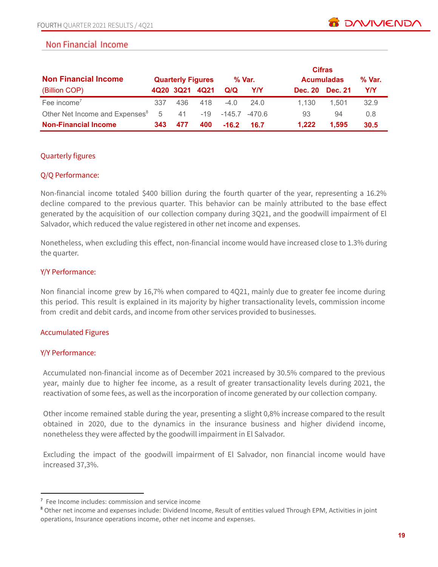# Non Financial Income

| <b>Non Financial Income</b>                |     | <b>Quarterly Figures</b> |                |          | % Var. |                | <b>Cifras</b><br><b>Acumuladas</b> | % Var.     |
|--------------------------------------------|-----|--------------------------|----------------|----------|--------|----------------|------------------------------------|------------|
| (Billion COP)                              |     |                          | 4Q20 3Q21 4Q21 | Q/Q      | Y/Y    | <b>Dec. 20</b> | Dec. 21                            | <b>Y/Y</b> |
| Fee income <sup>7</sup>                    | 337 | 436                      | 418            | $-4.0$   | 24.0   | 1.130          | 1.501                              | 32.9       |
| Other Net Income and Expenses <sup>8</sup> | 5   | 41                       | $-19$          | $-145.7$ | -470.6 | 93             | 94                                 | 0.8        |
| <b>Non-Financial Income</b>                | 343 | 477                      | 400            | $-16.2$  | 16.7   | 1.222          | 1.595                              | 30.5       |

#### Quarterly figures

#### Q/Q Performance:

Non-financial income totaled \$400 billion during the fourth quarter of the year, representing a 16.2% decline compared to the previous quarter. This behavior can be mainly attributed to the base effect generated by the acquisition of our collection company during 3Q21, and the goodwill impairment of El Salvador, which reduced the value registered in other net income and expenses.

Nonetheless, when excluding this effect, non-financial income would have increased close to 1.3% during the quarter.

#### Y/Y Performance:

Non financial income grew by 16,7% when compared to 4Q21, mainly due to greater fee income during this period. This result is explained in its majority by higher transactionality levels, commission income from credit and debit cards, and income from other services provided to businesses.

#### Accumulated Figures

#### Y/Y Performance:

Accumulated non-financial income as of December 2021 increased by 30.5% compared to the previous year, mainly due to higher fee income, as a result of greater transactionality levels during 2021, the reactivation of some fees, as well as the incorporation of income generated by our collection company.

Other income remained stable during the year, presenting a slight 0,8% increase compared to the result obtained in 2020, due to the dynamics in the insurance business and higher dividend income, nonetheless they were affected by the goodwill impairment in El Salvador.

Excluding the impact of the goodwill impairment of El Salvador, non financial income would have increased 37,3%.

<sup>7</sup> Fee Income includes: commission and service income

<sup>8</sup> Other net income and expenses include: Dividend Income, Result of entities valued Through EPM, Activities in joint operations, Insurance operations income, other net income and expenses.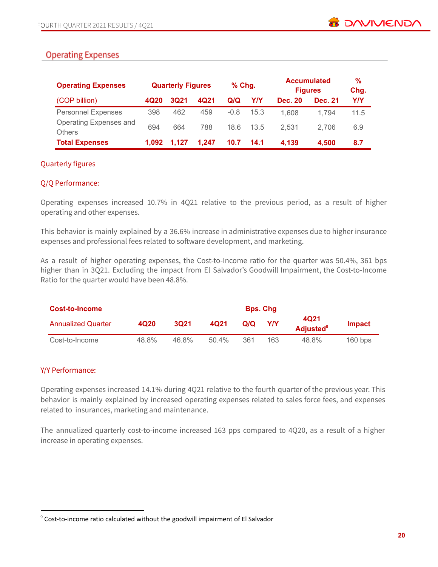# **Operating Expenses**

| <b>Operating Expenses</b>               |       | <b>Quarterly Figures</b> |       | $%$ Chg. |      |                | <b>Accumulated</b><br><b>Figures</b> | %<br>Chg. |
|-----------------------------------------|-------|--------------------------|-------|----------|------|----------------|--------------------------------------|-----------|
| (COP billion)                           | 4Q20  | <b>3Q21</b>              | 4Q21  | Q/Q      | Y/Y  | <b>Dec. 20</b> | <b>Dec. 21</b>                       | Y/Y       |
| <b>Personnel Expenses</b>               | 398   | 462                      | 459   | $-0.8$   | 15.3 | 1.608          | 1.794                                | 11.5      |
| Operating Expenses and<br><b>Others</b> | 694   | 664                      | 788   | 18.6     | 13.5 | 2.531          | 2.706                                | 6.9       |
| <b>Total Expenses</b>                   | 1.092 | 1.127                    | 1.247 | 10.7     | 14.1 | 4.139          | 4,500                                | 8.7       |

#### Quarterly figures

#### Q/Q Performance:

Operating expenses increased 10.7% in 4Q21 relative to the previous period, as a result of higher operating and other expenses.

This behavior is mainly explained by a 36.6% increase in administrative expenses due to higher insurance expenses and professional fees related to software development, and marketing.

As a result of higher operating expenses, the Cost-to-Income ratio for the quarter was 50.4%, 361 bps higher than in 3Q21. Excluding the impact from El Salvador's Goodwill Impairment, the Cost-to-Income Ratio for the quarter would have been 48.8%.

| Cost-to-Income            |       |       |      |     |     |                                      |           |
|---------------------------|-------|-------|------|-----|-----|--------------------------------------|-----------|
| <b>Annualized Quarter</b> | 4Q20  | 3021  | 4Q21 | Q/Q | Y/Y | 4Q21<br><b>Adjusted</b> <sup>9</sup> | Impact    |
| Cost-to-Income            | 48.8% | 46.8% | 504% | 361 | 163 | 48.8%                                | $160$ bps |

#### Y/Y Performance:

Operating expenses increased 14.1% during 4Q21 relative to the fourth quarter of the previous year. This behavior is mainly explained by increased operating expenses related to sales force fees, and expenses related to insurances, marketing and maintenance.

The annualized quarterly cost-to-income increased 163 pps compared to 4Q20, as a result of a higher increase in operating expenses.

<sup>&</sup>lt;sup>9</sup> Cost-to-income ratio calculated without the goodwill impairment of El Salvador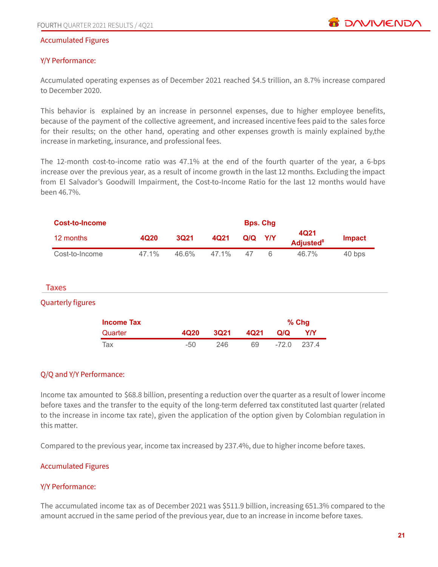

#### Accumulated Figures

#### Y/Y Performance:

Accumulated operating expenses as of December 2021 reached \$4.5 trillion, an 8.7% increase compared to December 2020.

This behavior is explained by an increase in personnel expenses, due to higher employee benefits, because of the payment of the collective agreement, and increased incentive fees paid to the sales force for their results; on the other hand, operating and other expenses growth is mainly explained by,the increase in marketing, insurance, and professional fees.

The 12-month cost-to-income ratio was 47.1% at the end of the fourth quarter of the year, a 6-bps increase over the previous year, as a result of income growth in the last 12 months. Excluding the impact from El Salvador's Goodwill Impairment, the Cost-to-Income Ratio for the last 12 months would have been 46.7%.

| Cost-to-Income | <b>Bps. Chg</b> |             |          |     |            |                                      |               |
|----------------|-----------------|-------------|----------|-----|------------|--------------------------------------|---------------|
| 12 months      | 4Q20            | <b>3Q21</b> | 4Q21     | Q/Q | <b>Y/Y</b> | 4Q21<br><b>Adjusted</b> <sup>8</sup> | <b>Impact</b> |
| Cost-to-Income | 47.1%           | 46.6%       | $47.1\%$ | 47  |            | 46.7%                                | 40 bps        |

#### Taxes

#### Quarterly figures

| <b>Income Tax</b> |      |      |      |         | $%$ Chg |
|-------------------|------|------|------|---------|---------|
| Quarter           | 4020 | 3021 | 4Q21 | Q/Q     | Y/Y     |
| Tax               | -50  | 246  | 69   | $-72.0$ | 237.4   |

#### Q/Q and Y/Y Performance:

Income tax amounted to \$68.8 billion, presenting a reduction over the quarter as a result of lower income before taxes and the transfer to the equity of the long-term deferred tax constituted last quarter (related to the increase in income tax rate), given the application of the option given by Colombian regulation in this matter.

Compared to the previous year, income tax increased by 237.4%, due to higher income before taxes.

#### Accumulated Figures

#### Y/Y Performance:

The accumulated income tax as of December 2021 was \$511.9 billion, increasing 651.3% compared to the amount accrued in the same period of the previous year, due to an increase in income before taxes.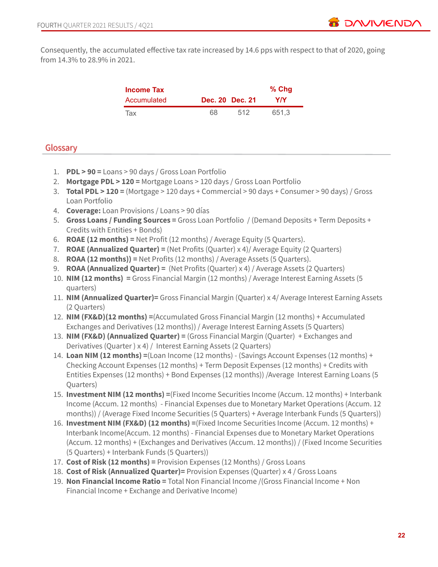Consequently, the accumulated effective tax rate increased by 14.6 pps with respect to that of 2020, going from 14.3% to 28.9% in 2021.

| Income Tax  |                 | $%$ Chg |
|-------------|-----------------|---------|
| Accumulated | Dec. 20 Dec. 21 | YIY     |
| Tax         | 68<br>512       | 651.3   |

# Glossary

- 1. **PDL > 90 =** Loans > 90 days / Gross Loan Portfolio
- 2. **Mortgage PDL > 120 =** Mortgage Loans > 120 days / Gross Loan Portfolio
- 3. **Total PDL > 120 =** (Mortgage > 120 days + Commercial > 90 days + Consumer > 90 days) / Gross Loan Portfolio
- 4. **Coverage:** Loan Provisions / Loans > 90 días
- 5. **Gross Loans / Funding Sources =** Gross Loan Portfolio / (Demand Deposits + Term Deposits + Credits with Entities + Bonds)
- 6. **ROAE (12 months) =** Net Profit (12 months) / Average Equity (5 Quarters).
- 7. **ROAE (Annualized Quarter) =** (Net Profits (Quarter) x 4)/ Average Equity (2 Quarters)
- 8. **ROAA (12 months)) =** Net Profits (12 months) / Average Assets (5 Quarters).
- 9. **ROAA (Annualized Quarter) =** (Net Profits (Quarter) x 4) / Average Assets (2 Quarters)
- 10. **NIM (12 months) =** Gross Financial Margin (12 months) / Average Interest Earning Assets (5 quarters)
- 11. **NIM (Annualized Quarter)=** Gross Financial Margin (Quarter) x 4/ Average Interest Earning Assets (2 Quarters)
- 12. **NIM (FX&D)(12 months) =**(Accumulated Gross Financial Margin (12 months) + Accumulated Exchanges and Derivatives (12 months)) / Average Interest Earning Assets (5 Quarters)
- 13. **NIM (FX&D) (Annualized Quarter) =** (Gross Financial Margin (Quarter) + Exchanges and Derivatives (Quarter ) x 4) / Interest Earning Assets (2 Quarters)
- 14. **Loan NIM (12 months) =**(Loan Income (12 months) (Savings Account Expenses (12 months) + Checking Account Expenses (12 months) + Term Deposit Expenses (12 months) + Credits with Entities Expenses (12 months) + Bond Expenses (12 months)) /Average Interest Earning Loans (5 Quarters)
- 15. **Investment NIM (12 months) =**(Fixed Income Securities Income (Accum. 12 months) + Interbank Income (Accum. 12 months) - Financial Expenses due to Monetary Market Operations (Accum. 12 months)) / (Average Fixed Income Securities (5 Quarters) + Average Interbank Funds (5 Quarters))
- 16. **Investment NIM (FX&D) (12 months) =**(Fixed Income Securities Income (Accum. 12 months) + Interbank Income(Accum. 12 months) - Financial Expenses due to Monetary Market Operations (Accum. 12 months) + (Exchanges and Derivatives (Accum. 12 months)) / (Fixed Income Securities (5 Quarters) + Interbank Funds (5 Quarters))
- 17. **Cost of Risk (12 months) =** Provision Expenses (12 Months) / Gross Loans
- 18. **Cost of Risk (Annualized Quarter)=** Provision Expenses (Quarter) x 4 / Gross Loans
- 19. **Non Financial Income Ratio =** Total Non Financial Income /(Gross Financial Income + Non Financial Income + Exchange and Derivative Income)